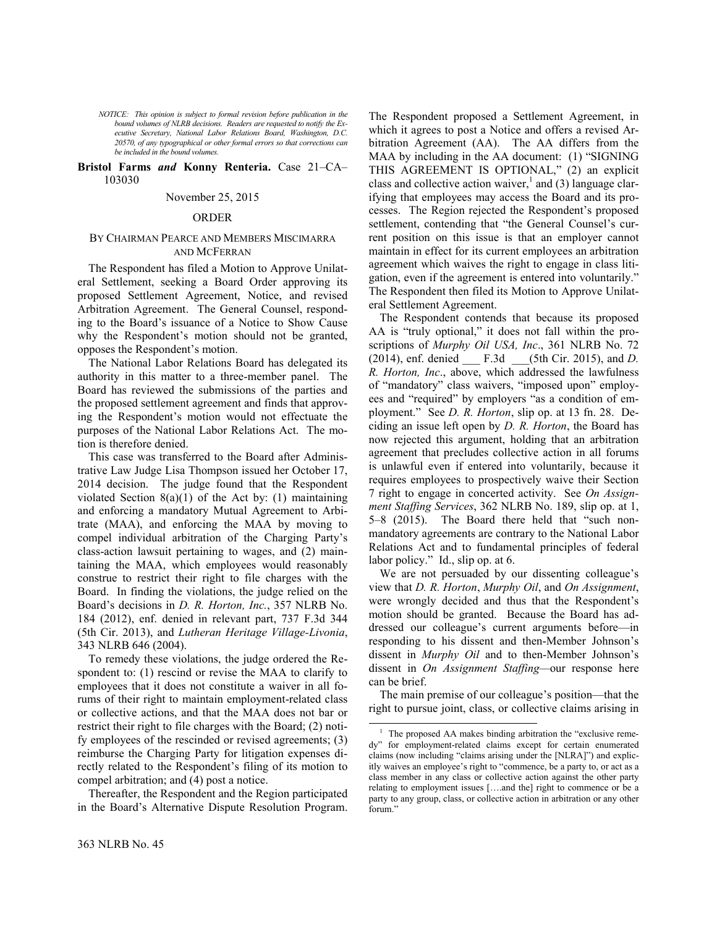*NOTICE: This opinion is subject to formal revision before publication in the bound volumes of NLRB decisions. Readers are requested to notify the Executive Secretary, National Labor Relations Board, Washington, D.C. 20570, of any typographical or other formal errors so that corrections can be included in the bound volumes.*

## **Bristol Farms** *and* **Konny Renteria.** Case 21–CA– 103030

#### November 25, 2015

## ORDER

# BY CHAIRMAN PEARCE AND MEMBERS MISCIMARRA AND MCFERRAN

The Respondent has filed a Motion to Approve Unilateral Settlement, seeking a Board Order approving its proposed Settlement Agreement, Notice, and revised Arbitration Agreement. The General Counsel, responding to the Board's issuance of a Notice to Show Cause why the Respondent's motion should not be granted, opposes the Respondent's motion.

The National Labor Relations Board has delegated its authority in this matter to a three-member panel. The Board has reviewed the submissions of the parties and the proposed settlement agreement and finds that approving the Respondent's motion would not effectuate the purposes of the National Labor Relations Act. The motion is therefore denied.

This case was transferred to the Board after Administrative Law Judge Lisa Thompson issued her October 17, 2014 decision. The judge found that the Respondent violated Section 8(a)(1) of the Act by: (1) maintaining and enforcing a mandatory Mutual Agreement to Arbitrate (MAA), and enforcing the MAA by moving to compel individual arbitration of the Charging Party's class-action lawsuit pertaining to wages, and (2) maintaining the MAA, which employees would reasonably construe to restrict their right to file charges with the Board. In finding the violations, the judge relied on the Board's decisions in *D. R. Horton, Inc.*, 357 NLRB No. 184 (2012), enf. denied in relevant part, 737 F.3d 344 (5th Cir. 2013), and *Lutheran Heritage Village-Livonia*, 343 NLRB 646 (2004).

To remedy these violations, the judge ordered the Respondent to: (1) rescind or revise the MAA to clarify to employees that it does not constitute a waiver in all forums of their right to maintain employment-related class or collective actions, and that the MAA does not bar or restrict their right to file charges with the Board; (2) notify employees of the rescinded or revised agreements; (3) reimburse the Charging Party for litigation expenses directly related to the Respondent's filing of its motion to compel arbitration; and (4) post a notice.

<span id="page-0-0"></span>Thereafter, the Respondent and the Region participated in the Board's Alternative Dispute Resolution Program.

The Respondent proposed a Settlement Agreement, in which it agrees to post a Notice and offers a revised Arbitration Agreement (AA). The AA differs from the MAA by including in the AA document: (1) "SIGNING THIS AGREEMENT IS OPTIONAL," (2) an explicit class and collective action waiver,<sup>[1](#page-0-0)</sup> and (3) language clarifying that employees may access the Board and its processes. The Region rejected the Respondent's proposed settlement, contending that "the General Counsel's current position on this issue is that an employer cannot maintain in effect for its current employees an arbitration agreement which waives the right to engage in class litigation, even if the agreement is entered into voluntarily." The Respondent then filed its Motion to Approve Unilateral Settlement Agreement.

The Respondent contends that because its proposed AA is "truly optional," it does not fall within the proscriptions of *Murphy Oil USA, Inc*., 361 NLRB No. 72 (2014), enf. denied \_\_\_ F.3d \_\_\_(5th Cir. 2015), and *D. R. Horton, Inc*., above, which addressed the lawfulness of "mandatory" class waivers, "imposed upon" employees and "required" by employers "as a condition of employment." See *D. R. Horton*, slip op. at 13 fn. 28. Deciding an issue left open by *D. R. Horton*, the Board has now rejected this argument, holding that an arbitration agreement that precludes collective action in all forums is unlawful even if entered into voluntarily, because it requires employees to prospectively waive their Section 7 right to engage in concerted activity. See *On Assignment Staffing Services*, 362 NLRB No. 189, slip op. at 1, 5–8 (2015). The Board there held that "such nonmandatory agreements are contrary to the National Labor Relations Act and to fundamental principles of federal labor policy." Id., slip op. at 6.

We are not persuaded by our dissenting colleague's view that *D. R. Horton*, *Murphy Oil*, and *On Assignment*, were wrongly decided and thus that the Respondent's motion should be granted. Because the Board has addressed our colleague's current arguments before—in responding to his dissent and then-Member Johnson's dissent in *Murphy Oil* and to then-Member Johnson's dissent in *On Assignment Staffing—*our response here can be brief.

The main premise of our colleague's position—that the right to pursue joint, class, or collective claims arising in

 $\overline{a}$ 

<sup>&</sup>lt;sup>1</sup> The proposed AA makes binding arbitration the "exclusive remedy" for employment-related claims except for certain enumerated claims (now including "claims arising under the [NLRA]") and explicitly waives an employee's right to "commence, be a party to, or act as a class member in any class or collective action against the other party relating to employment issues [….and the] right to commence or be a party to any group, class, or collective action in arbitration or any other forum."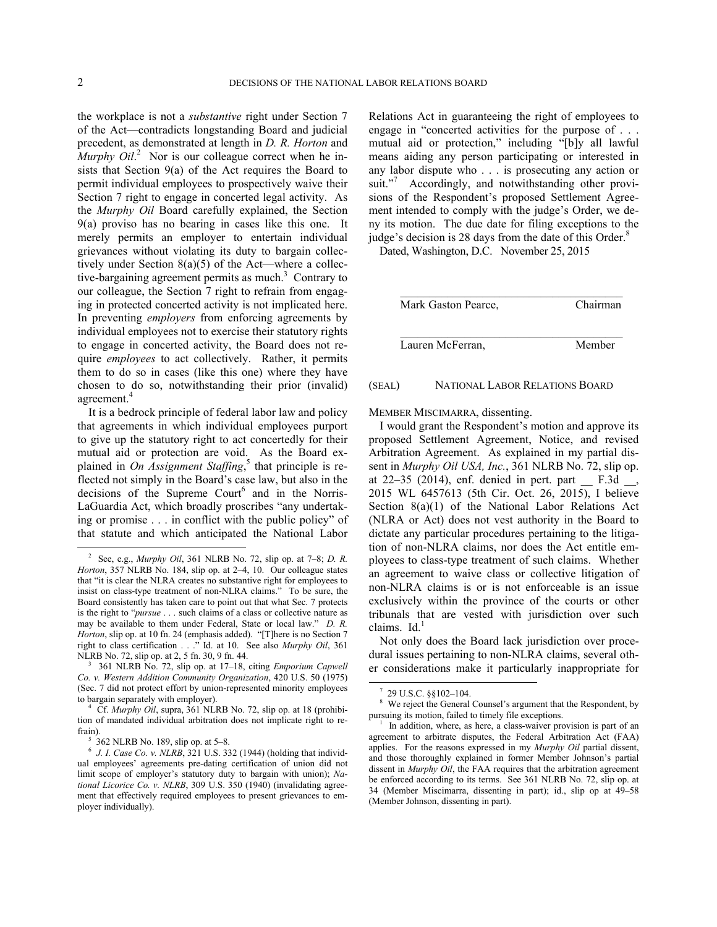$\overline{a}$ 

the workplace is not a *substantive* right under Section 7 of the Act—contradicts longstanding Board and judicial precedent, as demonstrated at length in *D. R. Horton* and *Murphy Oil*.<sup>[2](#page-1-0)</sup> Nor is our colleague correct when he insists that Section 9(a) of the Act requires the Board to permit individual employees to prospectively waive their Section 7 right to engage in concerted legal activity. As the *Murphy Oil* Board carefully explained, the Section 9(a) proviso has no bearing in cases like this one. It merely permits an employer to entertain individual grievances without violating its duty to bargain collectively under Section  $8(a)(5)$  of the Act—where a collective-bargaining agreement permits as much. $3$  Contrary to our colleague, the Section 7 right to refrain from engaging in protected concerted activity is not implicated here. In preventing *employers* from enforcing agreements by individual employees not to exercise their statutory rights to engage in concerted activity, the Board does not require *employees* to act collectively. Rather, it permits them to do so in cases (like this one) where they have chosen to do so, notwithstanding their prior (invalid) agreement.<sup>[4](#page-1-2)</sup>

It is a bedrock principle of federal labor law and policy that agreements in which individual employees purport to give up the statutory right to act concertedly for their mutual aid or protection are void. As the Board explained in *On Assignment Staffing*, [5](#page-1-3) that principle is reflected not simply in the Board's case law, but also in the decisions of the Supreme Court<sup>[6](#page-1-4)</sup> and in the Norris-LaGuardia Act, which broadly proscribes "any undertaking or promise . . . in conflict with the public policy" of that statute and which anticipated the National Labor

Relations Act in guaranteeing the right of employees to engage in "concerted activities for the purpose of . . . mutual aid or protection," including "[b]y all lawful means aiding any person participating or interested in any labor dispute who . . . is prosecuting any action or suit."<sup>[7](#page-1-5)</sup> Accordingly, and notwithstanding other provisions of the Respondent's proposed Settlement Agreement intended to comply with the judge's Order, we deny its motion. The due date for filing exceptions to the judge's decision is 2[8](#page-1-6) days from the date of this Order.<sup>8</sup>

Dated, Washington, D.C. November 25, 2015

| Mark Gaston Pearce, | Chairman |
|---------------------|----------|
| Lauren McFerran,    | Member   |

#### (SEAL) NATIONAL LABOR RELATIONS BOARD

MEMBER MISCIMARRA, dissenting.

I would grant the Respondent's motion and approve its proposed Settlement Agreement, Notice, and revised Arbitration Agreement. As explained in my partial dissent in *Murphy Oil USA, Inc.*, 361 NLRB No. 72, slip op. at 22–35 (2014), enf. denied in pert. part  $\equiv$  F.3d  $\equiv$ , 2015 WL 6457613 (5th Cir. Oct. 26, 2015), I believe Section 8(a)(1) of the National Labor Relations Act (NLRA or Act) does not vest authority in the Board to dictate any particular procedures pertaining to the litigation of non-NLRA claims, nor does the Act entitle employees to class-type treatment of such claims. Whether an agreement to waive class or collective litigation of non-NLRA claims is or is not enforceable is an issue exclusively within the province of the courts or other tribunals that are vested with jurisdiction over such claims.  $Id<sup>1</sup>$  $Id<sup>1</sup>$  $Id<sup>1</sup>$ 

Not only does the Board lack jurisdiction over procedural issues pertaining to non-NLRA claims, several other considerations make it particularly inappropriate for

l

<span id="page-1-0"></span><sup>2</sup> See, e.g., *Murphy Oil*, 361 NLRB No. 72, slip op. at 7–8; *D. R. Horton*, 357 NLRB No. 184, slip op. at 2–4, 10. Our colleague states that "it is clear the NLRA creates no substantive right for employees to insist on class-type treatment of non-NLRA claims." To be sure, the Board consistently has taken care to point out that what Sec. 7 protects is the right to "*pursue* . . . such claims of a class or collective nature as may be available to them under Federal, State or local law." *D. R. Horton*, slip op. at 10 fn. 24 (emphasis added). "[T]here is no Section 7 right to class certification . . ." Id. at 10. See also *Murphy Oil*, 361 NLRB No. 72, slip op. at 2, 5 fn. 30, 9 fn. 44.<br>
<sup>3</sup> 361 NJ RB No. 72, slip op. at 17, 18

<span id="page-1-5"></span><span id="page-1-1"></span><sup>361</sup> NLRB No. 72, slip op. at 17–18, citing *Emporium Capwell Co. v. Western Addition Community Organization*, 420 U.S. 50 (1975) (Sec. 7 did not protect effort by union-represented minority employees to bargain separately with employer).

<span id="page-1-7"></span><span id="page-1-6"></span><span id="page-1-2"></span><sup>4</sup> Cf. *Murphy Oil*, supra, 361 NLRB No. 72, slip op. at 18 (prohibition of mandated individual arbitration does not implicate right to refrain).

<sup>5</sup> 362 NLRB No. 189, slip op. at 5–8.

<span id="page-1-4"></span><span id="page-1-3"></span><sup>6</sup> *J. I. Case Co. v. NLRB*, 321 U.S. 332 (1944) (holding that individual employees' agreements pre-dating certification of union did not limit scope of employer's statutory duty to bargain with union); *National Licorice Co. v. NLRB*, 309 U.S. 350 (1940) (invalidating agreement that effectively required employees to present grievances to employer individually).

<sup>7</sup>  $^{7}$  29 U.S.C. §§102–104.

We reject the General Counsel's argument that the Respondent, by pursuing its motion, failed to timely file exceptions.

<sup>1</sup> In addition, where, as here, a class-waiver provision is part of an agreement to arbitrate disputes, the Federal Arbitration Act (FAA) applies. For the reasons expressed in my *Murphy Oil* partial dissent, and those thoroughly explained in former Member Johnson's partial dissent in *Murphy Oil*, the FAA requires that the arbitration agreement be enforced according to its terms. See 361 NLRB No. 72, slip op. at 34 (Member Miscimarra, dissenting in part); id., slip op at 49–58 (Member Johnson, dissenting in part).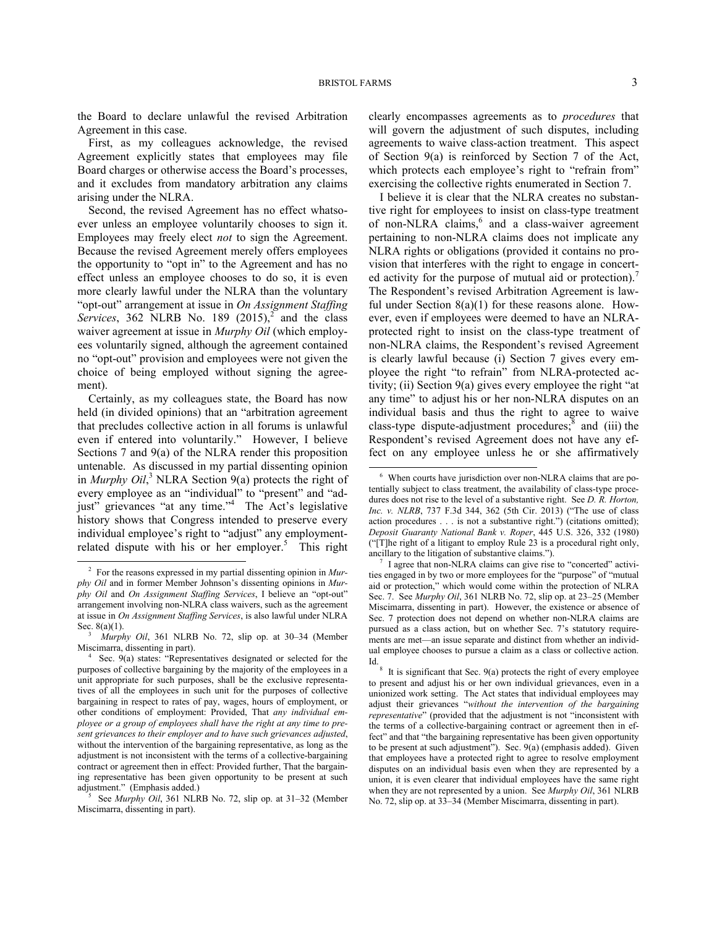l

the Board to declare unlawful the revised Arbitration Agreement in this case.

First, as my colleagues acknowledge, the revised Agreement explicitly states that employees may file Board charges or otherwise access the Board's processes, and it excludes from mandatory arbitration any claims arising under the NLRA.

Second, the revised Agreement has no effect whatsoever unless an employee voluntarily chooses to sign it. Employees may freely elect *not* to sign the Agreement. Because the revised Agreement merely offers employees the opportunity to "opt in" to the Agreement and has no effect unless an employee chooses to do so, it is even more clearly lawful under the NLRA than the voluntary "opt-out" arrangement at issue in *On Assignment Staffing*  Services, 36[2](#page-2-0) NLRB No. 189  $(2015)$ <sup>2</sup> and the class waiver agreement at issue in *Murphy Oil* (which employees voluntarily signed, although the agreement contained no "opt-out" provision and employees were not given the choice of being employed without signing the agreement).

<span id="page-2-4"></span>Certainly, as my colleagues state, the Board has now held (in divided opinions) that an "arbitration agreement that precludes collective action in all forums is unlawful even if entered into voluntarily." However, I believe Sections 7 and 9(a) of the NLRA render this proposition untenable. As discussed in my partial dissenting opinion in *Murphy Oil*, [3](#page-2-1) NLRA Section 9(a) protects the right of every employee as an "individual" to "present" and "ad-just" grievances "at any time."<sup>[4](#page-2-2)</sup> The Act's legislative history shows that Congress intended to preserve every individual employee's right to "adjust" any employment-related dispute with his or her employer.<sup>[5](#page-2-3)</sup> This right

1

clearly encompasses agreements as to *procedures* that will govern the adjustment of such disputes, including agreements to waive class-action treatment. This aspect of Section 9(a) is reinforced by Section 7 of the Act, which protects each employee's right to "refrain from" exercising the collective rights enumerated in Section 7.

I believe it is clear that the NLRA creates no substantive right for employees to insist on class-type treatment of non-NLRA claims,<sup>[6](#page-2-4)</sup> and a class-waiver agreement pertaining to non-NLRA claims does not implicate any NLRA rights or obligations (provided it contains no provision that interferes with the right to engage in concerted activity for the purpose of mutual aid or protection). The Respondent's revised Arbitration Agreement is lawful under Section  $8(a)(1)$  for these reasons alone. However, even if employees were deemed to have an NLRAprotected right to insist on the class-type treatment of non-NLRA claims, the Respondent's revised Agreement is clearly lawful because (i) Section 7 gives every employee the right "to refrain" from NLRA-protected activity; (ii) Section 9(a) gives every employee the right "at any time" to adjust his or her non-NLRA disputes on an individual basis and thus the right to agree to waive class-type dispute-adjustment procedures; $\frac{8}{3}$  $\frac{8}{3}$  $\frac{8}{3}$  and (iii) the Respondent's revised Agreement does not have any effect on any employee unless he or she affirmatively

<span id="page-2-5"></span><span id="page-2-0"></span><sup>2</sup> For the reasons expressed in my partial dissenting opinion in *Murphy Oil* and in former Member Johnson's dissenting opinions in *Murphy Oil* and *On Assignment Staffing Services*, I believe an "opt-out" arrangement involving non-NLRA class waivers, such as the agreement at issue in *On Assignment Staffing Services*, is also lawful under NLRA Sec. 8(a)(1).

<span id="page-2-1"></span><sup>3</sup> *Murphy Oil*, 361 NLRB No. 72, slip op. at 30–34 (Member Miscimarra, dissenting in part).

<span id="page-2-6"></span><span id="page-2-2"></span><sup>4</sup> Sec. 9(a) states: "Representatives designated or selected for the purposes of collective bargaining by the majority of the employees in a unit appropriate for such purposes, shall be the exclusive representatives of all the employees in such unit for the purposes of collective bargaining in respect to rates of pay, wages, hours of employment, or other conditions of employment: Provided, That *any individual employee or a group of employees shall have the right at any time to present grievances to their employer and to have such grievances adjusted*, without the intervention of the bargaining representative, as long as the adjustment is not inconsistent with the terms of a collective-bargaining contract or agreement then in effect: Provided further, That the bargaining representative has been given opportunity to be present at such adjustment." (Emphasis added.)

<span id="page-2-3"></span><sup>5</sup> See *Murphy Oil*, 361 NLRB No. 72, slip op. at 31–32 (Member Miscimarra, dissenting in part).

<sup>6</sup> When courts have jurisdiction over non-NLRA claims that are potentially subject to class treatment, the availability of class-type procedures does not rise to the level of a substantive right. See *D. R. Horton, Inc. v. NLRB*, 737 F.3d 344, 362 (5th Cir. 2013) ("The use of class action procedures . . . is not a substantive right.") (citations omitted); *Deposit Guaranty National Bank v. Roper*, 445 U.S. 326, 332 (1980) ("[T]he right of a litigant to employ Rule 23 is a procedural right only, ancillary to the litigation of substantive claims.").

<sup>&</sup>lt;sup>7</sup> I agree that non-NLRA claims can give rise to "concerted" activities engaged in by two or more employees for the "purpose" of "mutual aid or protection," which would come within the protection of NLRA Sec. 7. See *Murphy Oil*, 361 NLRB No. 72, slip op. at 23–25 (Member Miscimarra, dissenting in part). However, the existence or absence of Sec. 7 protection does not depend on whether non-NLRA claims are pursued as a class action, but on whether Sec. 7's statutory requirements are met—an issue separate and distinct from whether an individual employee chooses to pursue a claim as a class or collective action. Id.

<sup>&</sup>lt;sup>8</sup> It is significant that Sec. 9(a) protects the right of every employee to present and adjust his or her own individual grievances, even in a unionized work setting. The Act states that individual employees may adjust their grievances "*without the intervention of the bargaining representative*" (provided that the adjustment is not "inconsistent with the terms of a collective-bargaining contract or agreement then in effect" and that "the bargaining representative has been given opportunity to be present at such adjustment"). Sec. 9(a) (emphasis added). Given that employees have a protected right to agree to resolve employment disputes on an individual basis even when they are represented by a union, it is even clearer that individual employees have the same right when they are not represented by a union. See *Murphy Oil*, 361 NLRB No. 72, slip op. at 33–34 (Member Miscimarra, dissenting in part).